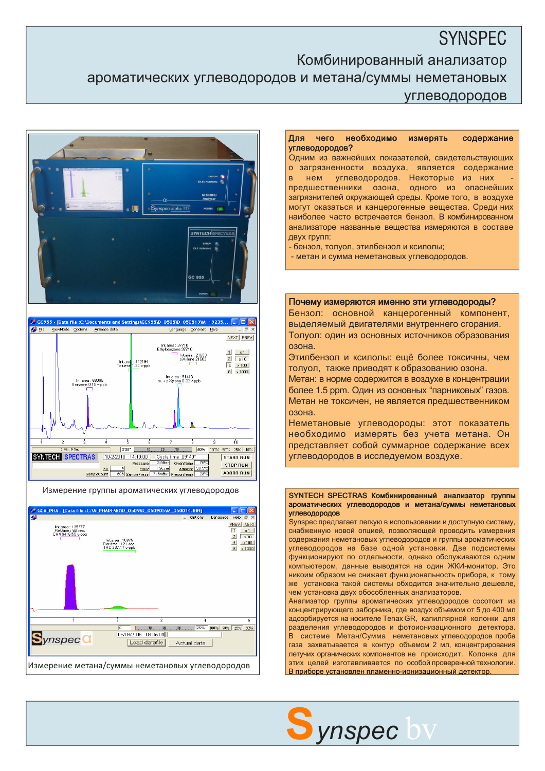# **SYNSPEC** Комбинированный анализатор ароматических углеводородов и метана/суммы неметановых углеводородов





Измерение группы ароматических углеводородов



## Для чего необходимо измерять содержание углеводородов?

Одним из важнейших показателей, свидетельствующих о загрязненности воздуха, является содержание в нем углеводородов. Некоторые из них предшественники озона, одного из опаснейших загрязнителей окружающей среды. Кроме того, в воздухе могут оказаться и канцерогенные вещества. Среди них наиболее часто встречается бензол. В комбинированном анализаторе названные вещества измеряются в составе двух групп:

- бензол, толуол, этилбензол и ксилолы;

- метан и сумма неметановых углеводородов.

#### Почему измеряются именно эти углеводороды?

Бензол: основной канцерогенный компонент, выделяемый двигателями внутреннего сгорания. Толуол: один из основных источников образования озона.

Этилбензол и ксилолы: ещё более токсичны, чем толуол, также приводят к образованию озона.

Метан: в норме содержится в воздухе в концентрации более 1.5 ppm. Один из основных "парниковых" газов. Метан не токсичен, не является предшественником озона.

Неметановые углеводороды: этот показатель необходимо измерять без учета метана. Он представляет собой суммарное содержание всех углеводородов в исследуемом воздухе.

#### SYNTECH SPECTRAS Комбинированный анализатор группы ароматических углеводородов и метана/суммы неметановых углеводородов

Synspec предлагает легкую в использовании и доступную систему, снабженную новой опцией, позволяющей проводить измерения содержания неметановых углеводородов и группы ароматических углеводородов на базе одной установки. Две подсистемы функционируют по отдельности, однако обслуживаются одним компьютером, данные выводятся на один ЖКИ-монитор. Это никоим образом не снижает функциональность прибора, к тому же установка такой системы обходится значительно дешевле, чем установка двух обособленных анализаторов.

Анализатор группы ароматических углеводородов сосотоит из концентрирующего заборника, где воздух объемом от 5 до 400 мл адсорбируется на носителе Tenax GR, капиллярной колонки для разделения углеводородов и фотоионизационного детектора. В системе Метан/Сумма неметановых углеводородов проба газа захватывается в контур объемом 2 мл, концентрирования летучих органических компонентов не происходит. Колонка для этих целей изготавливается по особой проверенной технологии. В приборе установлен пламенно-ионизационный детектор.